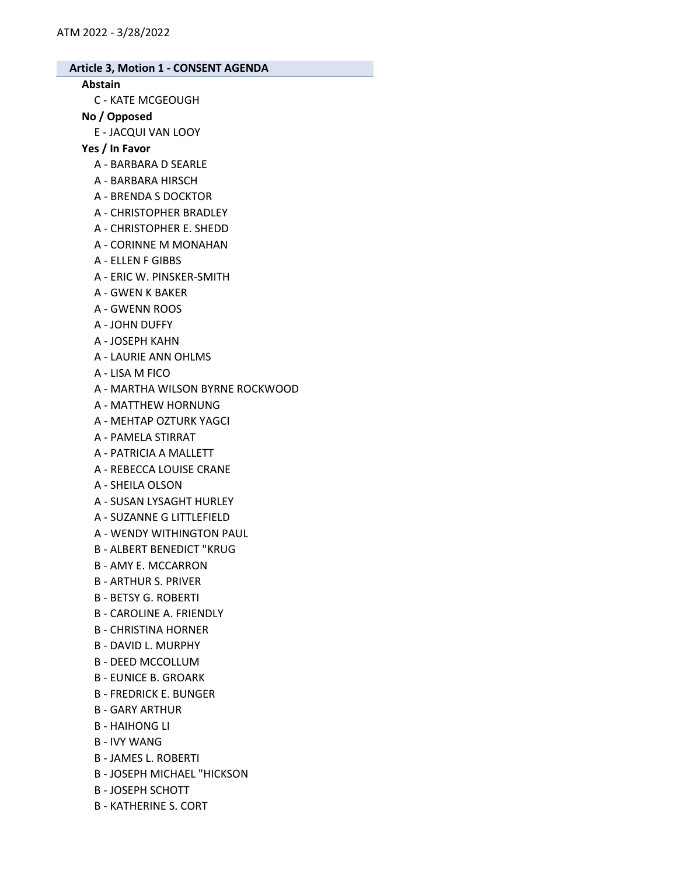#### Abstain

C - KATE MCGEOUGH

#### No / Opposed

E - JACQUI VAN LOOY

### Yes / In Favor

- A BARBARA D SEARLE
- A BARBARA HIRSCH
- A BRENDA S DOCKTOR
- A CHRISTOPHER BRADLEY
- A CHRISTOPHER E. SHEDD
- A CORINNE M MONAHAN
- A ELLEN F GIBBS
- A ERIC W. PINSKER-SMITH
- A GWEN K BAKER
- A GWENN ROOS
- A JOHN DUFFY
- A JOSEPH KAHN
- A LAURIE ANN OHLMS
- A LISA M FICO
- A MARTHA WILSON BYRNE ROCKWOOD
- A MATTHEW HORNUNG
- A MEHTAP OZTURK YAGCI
- A PAMELA STIRRAT
- A PATRICIA A MALLETT
- A REBECCA LOUISE CRANE
- A SHEILA OLSON
- A SUSAN LYSAGHT HURLEY
- A SUZANNE G LITTLEFIELD
- A WENDY WITHINGTON PAUL
- B ALBERT BENEDICT "KRUG
- B AMY E. MCCARRON
- B ARTHUR S. PRIVER
- B BETSY G. ROBERTI
- B CAROLINE A. FRIENDLY
- B CHRISTINA HORNER
- B DAVID L. MURPHY
- B DEED MCCOLLUM
- B EUNICE B. GROARK
- B FREDRICK E. BUNGER
- B GARY ARTHUR
- B HAIHONG LI
- B IVY WANG
- B JAMES L. ROBERTI
- B JOSEPH MICHAEL "HICKSON
- B JOSEPH SCHOTT
- B KATHERINE S. CORT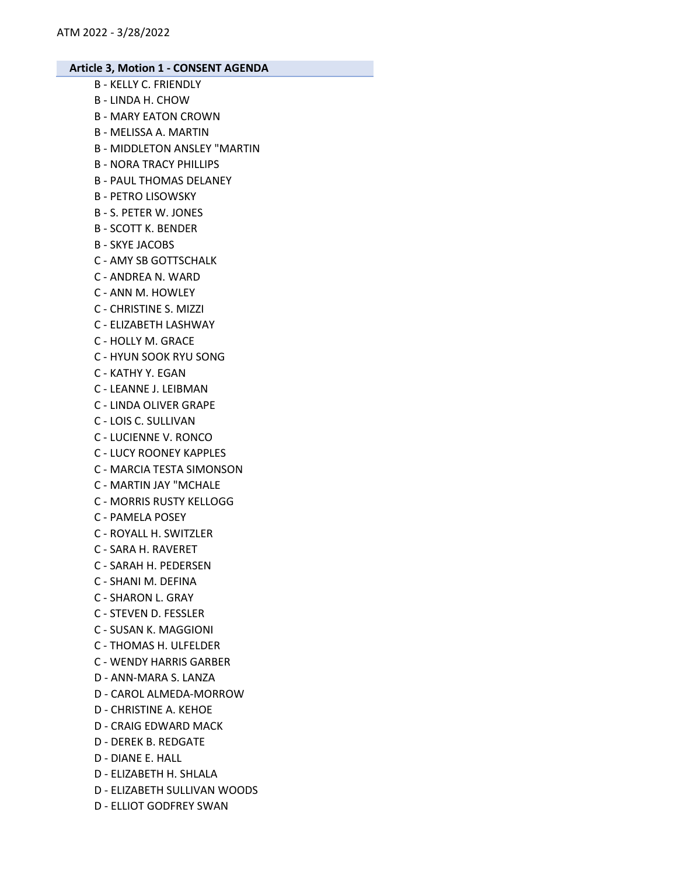- B KELLY C. FRIENDLY B - LINDA H. CHOW B - MARY EATON CROWN B - MELISSA A. MARTIN B - MIDDLETON ANSLEY "MARTIN B - NORA TRACY PHILLIPS B - PAUL THOMAS DELANEY B - PETRO LISOWSKY B - S. PETER W. JONES B - SCOTT K. BENDER B - SKYE JACOBS C - AMY SB GOTTSCHALK C - ANDREA N. WARD C - ANN M. HOWLEY C - CHRISTINE S. MIZZI C - ELIZABETH LASHWAY C - HOLLY M. GRACE C - HYUN SOOK RYU SONG C - KATHY Y. EGAN C - LEANNE J. LEIBMAN C - LINDA OLIVER GRAPE C - LOIS C. SULLIVAN C - LUCIENNE V. RONCO C - LUCY ROONEY KAPPLES C - MARCIA TESTA SIMONSON C - MARTIN JAY "MCHALE C - MORRIS RUSTY KELLOGG C - PAMELA POSEY C - ROYALL H. SWITZLER C - SARA H. RAVERET C - SARAH H. PEDERSEN C - SHANI M. DEFINA C - SHARON L. GRAY C - STEVEN D. FESSLER C - SUSAN K. MAGGIONI C - THOMAS H. ULFELDER C - WENDY HARRIS GARBER D - ANN-MARA S. LANZA D - CAROL ALMEDA-MORROW D - CHRISTINE A. KEHOE D - CRAIG EDWARD MACK D - DEREK B. REDGATE D - DIANE E. HALL
- D ELIZABETH H. SHLALA
- D ELIZABETH SULLIVAN WOODS
- D ELLIOT GODFREY SWAN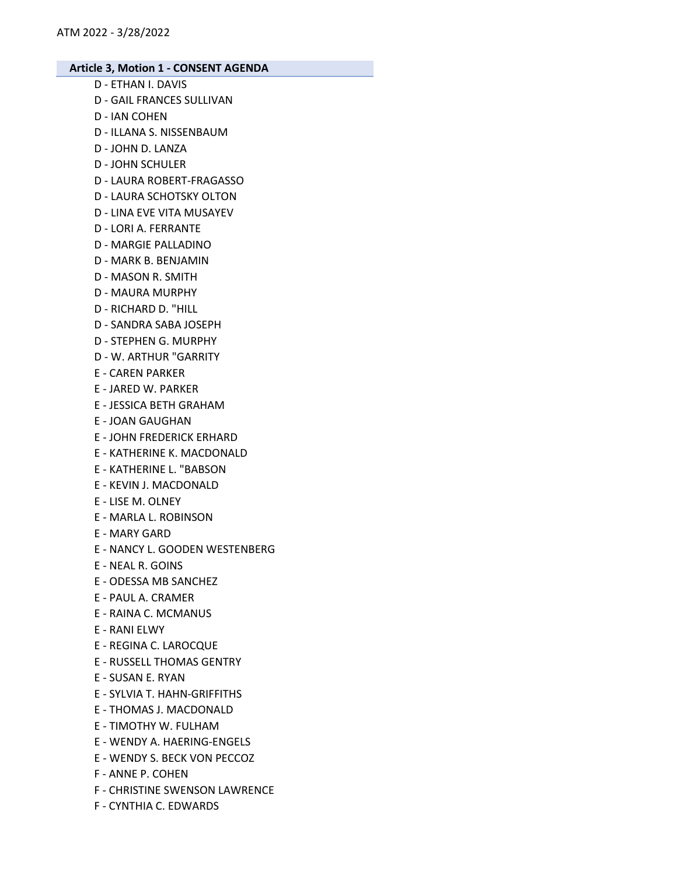- D ETHAN I. DAVIS
- D GAIL FRANCES SULLIVAN
- D IAN COHEN
- D ILLANA S. NISSENBAUM
- D JOHN D. LANZA
- D JOHN SCHULER
- D LAURA ROBERT-FRAGASSO
- D LAURA SCHOTSKY OLTON
- D LINA EVE VITA MUSAYEV
- D LORI A. FERRANTE
- D MARGIE PALLADINO
- D MARK B. BENJAMIN
- D MASON R. SMITH
- D MAURA MURPHY
- D RICHARD D. "HILL
- D SANDRA SABA JOSEPH
- D STEPHEN G. MURPHY
- D W. ARTHUR "GARRITY
- E CAREN PARKER
- E JARED W. PARKER
- E JESSICA BETH GRAHAM
- E JOAN GAUGHAN
- E JOHN FREDERICK ERHARD
- E KATHERINE K. MACDONALD
- E KATHERINE L. "BABSON
- E KEVIN J. MACDONALD
- E LISE M. OLNEY
- E MARLA L. ROBINSON
- E MARY GARD
- E NANCY L. GOODEN WESTENBERG
- E NEAL R. GOINS
- E ODESSA MB SANCHEZ
- E PAUL A. CRAMER
- E RAINA C. MCMANUS
- E RANI ELWY
- E REGINA C. LAROCQUE
- E RUSSELL THOMAS GENTRY
- E SUSAN E. RYAN
- E SYLVIA T. HAHN-GRIFFITHS
- E THOMAS J. MACDONALD
- E TIMOTHY W. FULHAM
- E WENDY A. HAERING-ENGELS
- E WENDY S. BECK VON PECCOZ
- F ANNE P. COHEN
- F CHRISTINE SWENSON LAWRENCE
- F CYNTHIA C. EDWARDS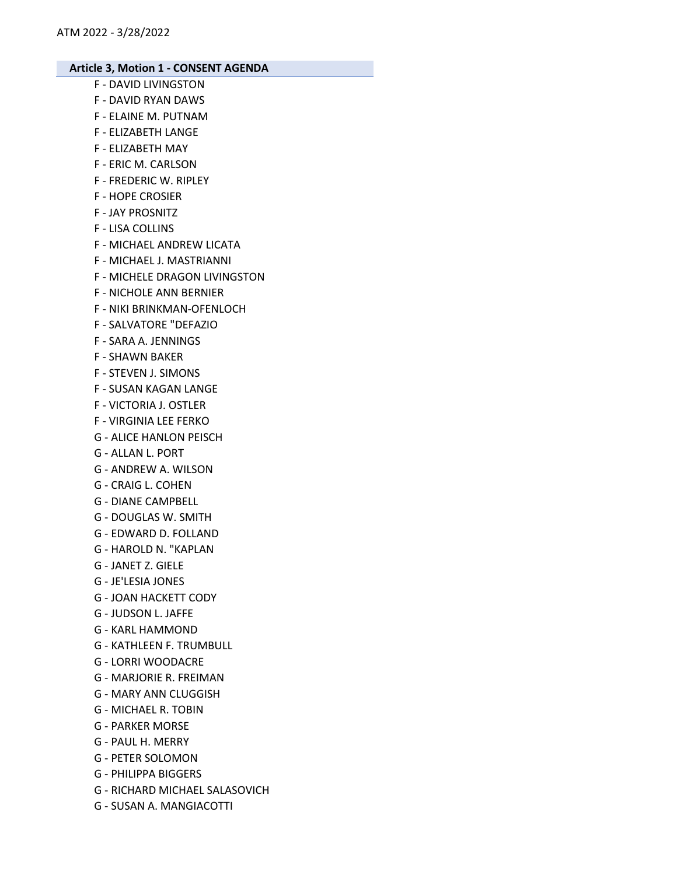- F DAVID LIVINGSTON
- F DAVID RYAN DAWS
- F ELAINE M. PUTNAM
- F ELIZABETH LANGE
- F ELIZABETH MAY
- F ERIC M. CARLSON
- F FREDERIC W. RIPLEY
- F HOPE CROSIER
- F JAY PROSNITZ
- F LISA COLLINS
- F MICHAEL ANDREW LICATA
- F MICHAEL J. MASTRIANNI
- F MICHELE DRAGON LIVINGSTON
- F NICHOLE ANN BERNIER
- F NIKI BRINKMAN-OFENLOCH
- F SALVATORE "DEFAZIO
- F SARA A. JENNINGS
- F SHAWN BAKER
- F STEVEN J. SIMONS
- F SUSAN KAGAN LANGE
- F VICTORIA J. OSTLER
- F VIRGINIA LEE FERKO
- G ALICE HANLON PEISCH
- G ALLAN L. PORT
- G ANDREW A. WILSON
- G CRAIG L. COHEN
- G DIANE CAMPBELL
- G DOUGLAS W. SMITH
- G EDWARD D. FOLLAND
- G HAROLD N. "KAPLAN
- G JANET Z. GIELE
- G JE'LESIA JONES
- G JOAN HACKETT CODY
- G JUDSON L. JAFFE
- G KARL HAMMOND
- G KATHLEEN F. TRUMBULL
- G LORRI WOODACRE
- G MARJORIE R. FREIMAN
- G MARY ANN CLUGGISH
- G MICHAEL R. TOBIN
- G PARKER MORSE
- G PAUL H. MERRY
- G PETER SOLOMON
- G PHILIPPA BIGGERS
- G RICHARD MICHAEL SALASOVICH
- G SUSAN A. MANGIACOTTI